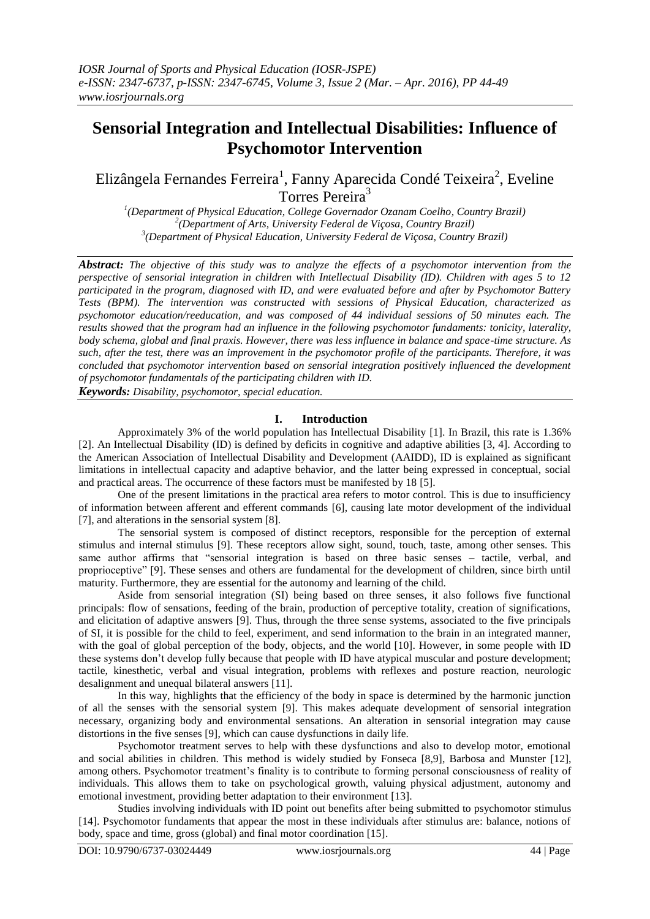# **Sensorial Integration and Intellectual Disabilities: Influence of Psychomotor Intervention**

Elizângela Fernandes Ferreira<sup>1</sup>, Fanny Aparecida Condé Teixeira<sup>2</sup>, Eveline Torres Pereira<sup>3</sup>

*1 (Department of Physical Education, College Governador Ozanam Coelho, Country Brazil) 2 (Department of Arts, University Federal de Viçosa, Country Brazil) 3 (Department of Physical Education, University Federal de Viçosa, Country Brazil)*

*Abstract: The objective of this study was to analyze the effects of a psychomotor intervention from the perspective of sensorial integration in children with Intellectual Disability (ID). Children with ages 5 to 12 participated in the program, diagnosed with ID, and were evaluated before and after by Psychomotor Battery Tests (BPM). The intervention was constructed with sessions of Physical Education, characterized as psychomotor education/reeducation, and was composed of 44 individual sessions of 50 minutes each. The results showed that the program had an influence in the following psychomotor fundaments: tonicity, laterality, body schema, global and final praxis. However, there was less influence in balance and space-time structure. As such, after the test, there was an improvement in the psychomotor profile of the participants. Therefore, it was concluded that psychomotor intervention based on sensorial integration positively influenced the development of psychomotor fundamentals of the participating children with ID.*

*Keywords: Disability, psychomotor, special education.*

## **I. Introduction**

Approximately 3% of the world population has Intellectual Disability [1]. In Brazil, this rate is 1.36% [2]. An Intellectual Disability (ID) is defined by deficits in cognitive and adaptive abilities [3, 4]. According to the American Association of Intellectual Disability and Development (AAIDD), ID is explained as significant limitations in intellectual capacity and adaptive behavior, and the latter being expressed in conceptual, social and practical areas. The occurrence of these factors must be manifested by 18 [5].

One of the present limitations in the practical area refers to motor control. This is due to insufficiency of information between afferent and efferent commands [6], causing late motor development of the individual [7], and alterations in the sensorial system [8].

The sensorial system is composed of distinct receptors, responsible for the perception of external stimulus and internal stimulus [9]. These receptors allow sight, sound, touch, taste, among other senses. This same author affirms that "sensorial integration is based on three basic senses – tactile, verbal, and proprioceptive" [9]. These senses and others are fundamental for the development of children, since birth until maturity. Furthermore, they are essential for the autonomy and learning of the child.

Aside from sensorial integration (SI) being based on three senses, it also follows five functional principals: flow of sensations, feeding of the brain, production of perceptive totality, creation of significations, and elicitation of adaptive answers [9]. Thus, through the three sense systems, associated to the five principals of SI, it is possible for the child to feel, experiment, and send information to the brain in an integrated manner, with the goal of global perception of the body, objects, and the world [10]. However, in some people with ID these systems don't develop fully because that people with ID have atypical muscular and posture development; tactile, kinesthetic, verbal and visual integration, problems with reflexes and posture reaction, neurologic desalignment and unequal bilateral answers [11].

In this way, highlights that the efficiency of the body in space is determined by the harmonic junction of all the senses with the sensorial system [9]. This makes adequate development of sensorial integration necessary, organizing body and environmental sensations. An alteration in sensorial integration may cause distortions in the five senses [9], which can cause dysfunctions in daily life.

Psychomotor treatment serves to help with these dysfunctions and also to develop motor, emotional and social abilities in children. This method is widely studied by Fonseca [8,9], Barbosa and Munster [12], among others. Psychomotor treatment's finality is to contribute to forming personal consciousness of reality of individuals. This allows them to take on psychological growth, valuing physical adjustment, autonomy and emotional investment, providing better adaptation to their environment [13].

Studies involving individuals with ID point out benefits after being submitted to psychomotor stimulus [14]. Psychomotor fundaments that appear the most in these individuals after stimulus are: balance, notions of body, space and time, gross (global) and final motor coordination [15].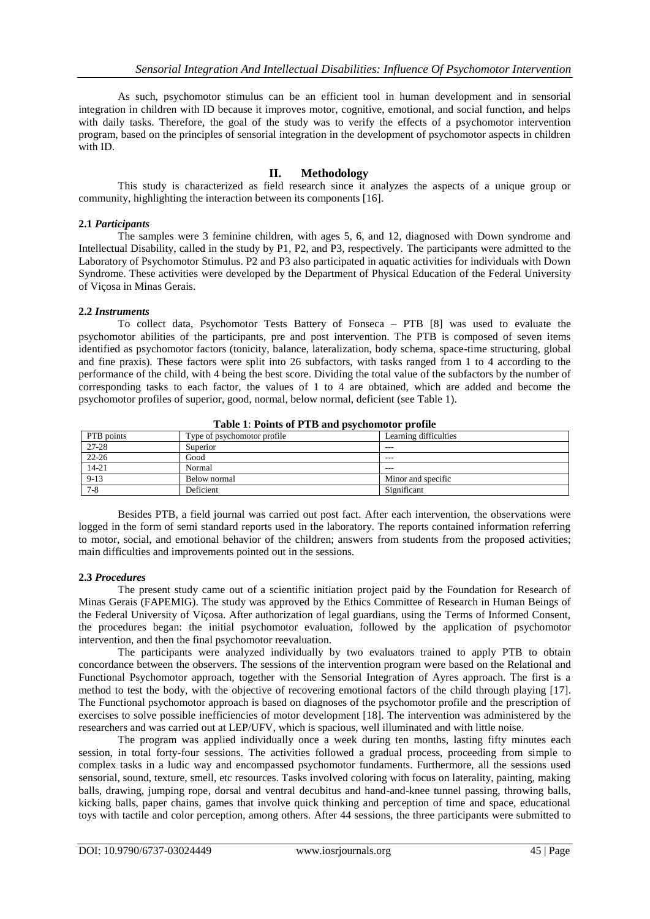As such, psychomotor stimulus can be an efficient tool in human development and in sensorial integration in children with ID because it improves motor, cognitive, emotional, and social function, and helps with daily tasks. Therefore, the goal of the study was to verify the effects of a psychomotor intervention program, based on the principles of sensorial integration in the development of psychomotor aspects in children with ID.

# **II. Methodology**

This study is characterized as field research since it analyzes the aspects of a unique group or community, highlighting the interaction between its components [16].

#### **2.1** *Participants*

The samples were 3 feminine children, with ages 5, 6, and 12, diagnosed with Down syndrome and Intellectual Disability, called in the study by P1, P2, and P3, respectively. The participants were admitted to the Laboratory of Psychomotor Stimulus. P2 and P3 also participated in aquatic activities for individuals with Down Syndrome. These activities were developed by the Department of Physical Education of the Federal University of Viçosa in Minas Gerais.

#### **2.2** *Instruments*

To collect data, Psychomotor Tests Battery of Fonseca – PTB [8] was used to evaluate the psychomotor abilities of the participants, pre and post intervention. The PTB is composed of seven items identified as psychomotor factors (tonicity, balance, lateralization, body schema, space-time structuring, global and fine praxis). These factors were split into 26 subfactors, with tasks ranged from 1 to 4 according to the performance of the child, with 4 being the best score. Dividing the total value of the subfactors by the number of corresponding tasks to each factor, the values of 1 to 4 are obtained, which are added and become the psychomotor profiles of superior, good, normal, below normal, deficient (see Table 1).

| Tuble 1: 1 office of 1 110 and payenomotor promic |                             |                       |  |  |  |  |  |
|---------------------------------------------------|-----------------------------|-----------------------|--|--|--|--|--|
| PTB points                                        | Type of psychomotor profile | Learning difficulties |  |  |  |  |  |
| 27-28                                             | Superior                    | ---                   |  |  |  |  |  |
| $22 - 26$                                         | Good                        | ---                   |  |  |  |  |  |
| $14 - 21$                                         | Normal                      | ---                   |  |  |  |  |  |
| $9-13$                                            | Below normal                | Minor and specific    |  |  |  |  |  |
| $7 - 8$                                           | Deficient                   | Significant           |  |  |  |  |  |

**Table 1**: **Points of PTB and psychomotor profile**

Besides PTB, a field journal was carried out post fact. After each intervention, the observations were logged in the form of semi standard reports used in the laboratory. The reports contained information referring to motor, social, and emotional behavior of the children; answers from students from the proposed activities; main difficulties and improvements pointed out in the sessions.

## **2.3** *Procedures*

The present study came out of a scientific initiation project paid by the Foundation for Research of Minas Gerais (FAPEMIG). The study was approved by the Ethics Committee of Research in Human Beings of the Federal University of Viçosa. After authorization of legal guardians, using the Terms of Informed Consent, the procedures began: the initial psychomotor evaluation, followed by the application of psychomotor intervention, and then the final psychomotor reevaluation.

The participants were analyzed individually by two evaluators trained to apply PTB to obtain concordance between the observers. The sessions of the intervention program were based on the Relational and Functional Psychomotor approach, together with the Sensorial Integration of Ayres approach. The first is a method to test the body, with the objective of recovering emotional factors of the child through playing [17]. The Functional psychomotor approach is based on diagnoses of the psychomotor profile and the prescription of exercises to solve possible inefficiencies of motor development [18]. The intervention was administered by the researchers and was carried out at LEP/UFV, which is spacious, well illuminated and with little noise.

The program was applied individually once a week during ten months, lasting fifty minutes each session, in total forty-four sessions. The activities followed a gradual process, proceeding from simple to complex tasks in a ludic way and encompassed psychomotor fundaments. Furthermore, all the sessions used sensorial, sound, texture, smell, etc resources. Tasks involved coloring with focus on laterality, painting, making balls, drawing, jumping rope, dorsal and ventral decubitus and hand-and-knee tunnel passing, throwing balls, kicking balls, paper chains, games that involve quick thinking and perception of time and space, educational toys with tactile and color perception, among others. After 44 sessions, the three participants were submitted to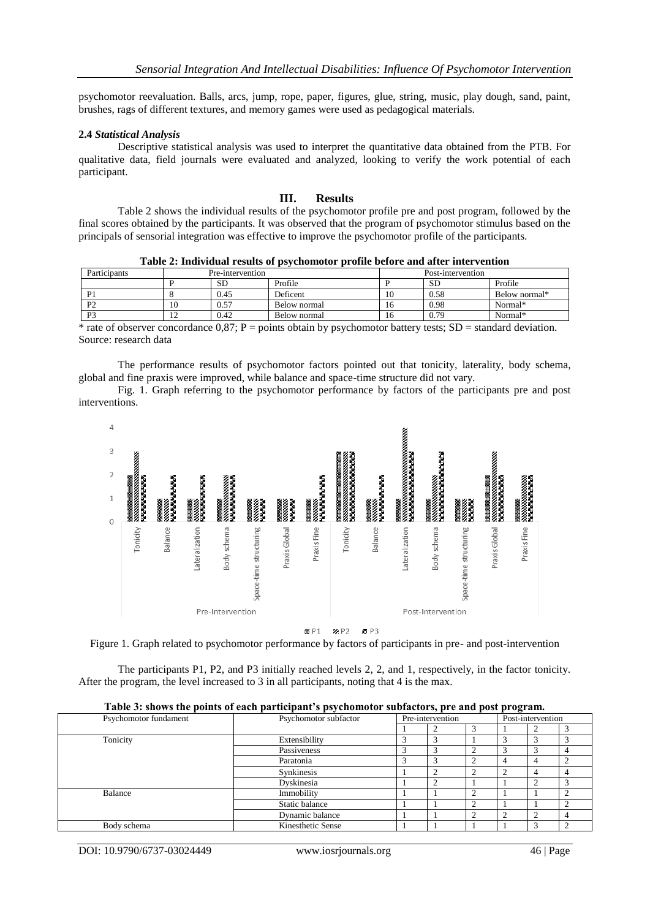psychomotor reevaluation. Balls, arcs, jump, rope, paper, figures, glue, string, music, play dough, sand, paint, brushes, rags of different textures, and memory games were used as pedagogical materials.

#### **2.4** *Statistical Analysis*

Descriptive statistical analysis was used to interpret the quantitative data obtained from the PTB. For qualitative data, field journals were evaluated and analyzed, looking to verify the work potential of each participant.

## **III. Results**

Table 2 shows the individual results of the psychomotor profile pre and post program, followed by the final scores obtained by the participants. It was observed that the program of psychomotor stimulus based on the principals of sensorial integration was effective to improve the psychomotor profile of the participants.

|                                                |  | Table 2: Individual results of psychomotor profile before and after intervention |
|------------------------------------------------|--|----------------------------------------------------------------------------------|
| $\mathbf{D}_{\text{max}}$ is the second inter- |  |                                                                                  |

| Participants   | Pre-intervention |         |              |    |           |               |
|----------------|------------------|---------|--------------|----|-----------|---------------|
|                |                  | SЕ      | Profile      |    | <b>SD</b> | Profile       |
| P <sub>1</sub> |                  | 0.45    | Deficent     | 10 | 0.58      | Below normal* |
| P <sub>2</sub> | 10               | 0.57    | Below normal | 16 | 0.98      | Normal*       |
| P <sub>3</sub> | $\overline{1}$   | 0.42    | Below normal | 16 | 0.79      | Normal*       |
| . .            |                  | - - - - | .<br>$\sim$  |    | $-$       | .             |

\* rate of observer concordance  $0.87$ ; P = points obtain by psychomotor battery tests; SD = standard deviation. Source: research data

The performance results of psychomotor factors pointed out that tonicity, laterality, body schema, global and fine praxis were improved, while balance and space-time structure did not vary.

Fig. 1. Graph referring to the psychomotor performance by factors of the participants pre and post interventions.



Figure 1. Graph related to psychomotor performance by factors of participants in pre- and post-intervention

The participants P1, P2, and P3 initially reached levels 2, 2, and 1, respectively, in the factor tonicity. After the program, the level increased to 3 in all participants, noting that 4 is the max.

|                       | Tabic 5. shows the points of each participant s psychomotor subfactors, pre and post program. |                  |  |  |                   |  |  |
|-----------------------|-----------------------------------------------------------------------------------------------|------------------|--|--|-------------------|--|--|
| Psychomotor fundament | Psychomotor subfactor                                                                         | Pre-intervention |  |  | Post-intervention |  |  |
|                       |                                                                                               |                  |  |  |                   |  |  |
| Tonicity              | Extensibility                                                                                 |                  |  |  |                   |  |  |
|                       | Passiveness                                                                                   |                  |  |  |                   |  |  |
|                       | Paratonia                                                                                     |                  |  |  |                   |  |  |
|                       | Synkinesis                                                                                    |                  |  |  |                   |  |  |
|                       | Dyskinesia                                                                                    |                  |  |  |                   |  |  |
| Balance               | Immobility                                                                                    |                  |  |  |                   |  |  |
|                       | Static balance                                                                                |                  |  |  |                   |  |  |
|                       | Dynamic balance                                                                               |                  |  |  |                   |  |  |
| Body schema           | Kinesthetic Sense                                                                             |                  |  |  |                   |  |  |

**Table 3: shows the points of each participant's psychomotor subfactors, pre and post program.**

DOI: 10.9790/6737-03024449 www.iosrjournals.org 46 | Page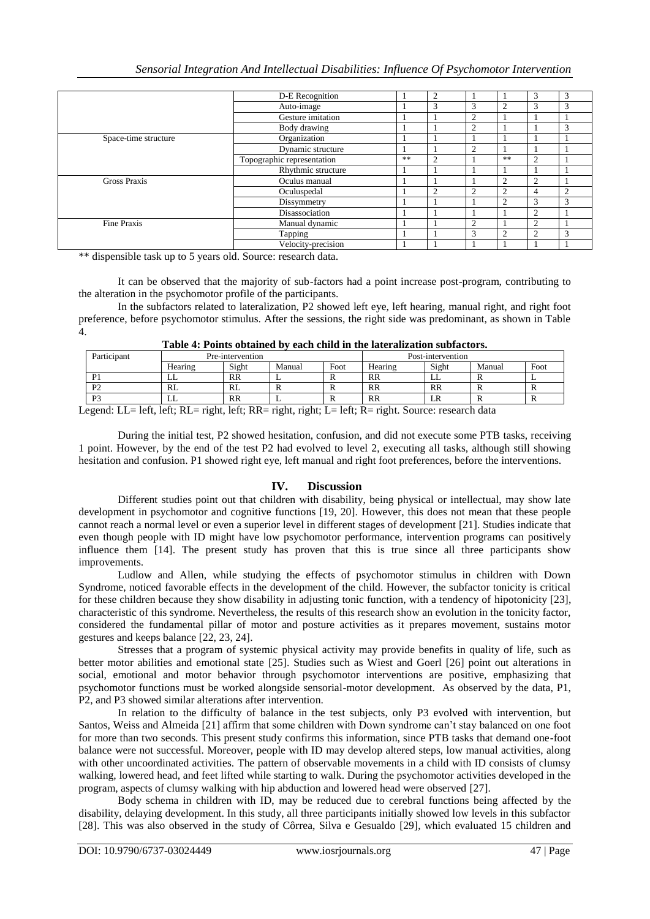|                      | D-E Recognition            |    | 2 |                |                |            | 3             |
|----------------------|----------------------------|----|---|----------------|----------------|------------|---------------|
|                      | Auto-image                 |    | 3 | 3              | 2              |            | 3             |
|                      | Gesture imitation          |    |   | $\overline{2}$ |                |            |               |
|                      | Body drawing               |    |   | $\overline{2}$ |                |            | $\mathcal{R}$ |
| Space-time structure | Organization               |    |   |                |                |            |               |
|                      | Dynamic structure          |    |   | $\overline{2}$ |                |            |               |
|                      | Topographic representation | ** | ◠ |                | **             | ◠          |               |
|                      | Rhythmic structure         |    |   |                |                |            |               |
| <b>Gross Praxis</b>  | Oculus manual              |    |   |                | ↑              | ◠          |               |
|                      | Oculuspedal                |    | っ | $\overline{c}$ | $\overline{c}$ | 4          |               |
|                      | Dissymmetry                |    |   |                | $\overline{c}$ | $\sqrt{2}$ | $\mathcal{R}$ |
|                      | Disassociation             |    |   |                |                | 2          |               |
| <b>Fine Praxis</b>   | Manual dynamic             |    |   | $\overline{c}$ |                | ി          |               |
|                      | Tapping                    |    |   | 3              | $\overline{2}$ |            | 3             |
|                      | Velocity-precision         |    |   |                |                |            |               |

\*\* dispensible task up to 5 years old. Source: research data.

It can be observed that the majority of sub-factors had a point increase post-program, contributing to the alteration in the psychomotor profile of the participants.

In the subfactors related to lateralization, P2 showed left eye, left hearing, manual right, and right foot preference, before psychomotor stimulus. After the sessions, the right side was predominant, as shown in Table 4.

| Table 4: Points obtained by each child in the lateralization subfactors. |  |  |
|--------------------------------------------------------------------------|--|--|
|--------------------------------------------------------------------------|--|--|

| Participant                                                                                                 | Pre-intervention |           |        | Post-intervention |         |         |                         |      |
|-------------------------------------------------------------------------------------------------------------|------------------|-----------|--------|-------------------|---------|---------|-------------------------|------|
|                                                                                                             | Hearing          | Sight     | Manual | Foot              | Hearing | Sight   | Manual                  | Foot |
| D <sub>1</sub>                                                                                              | ப                | <b>RR</b> |        |                   | RR      | ப       |                         |      |
| P <sub>2</sub>                                                                                              | RL               | RL        | л      |                   | RR      | $_{RR}$ | $\overline{\mathbf{v}}$ | -    |
| P <sub>3</sub>                                                                                              | ப                | <b>RR</b> |        |                   | RR      | LIN     |                         | -    |
| $c_{\cdot}$ 1 $c_{\cdot}$ DI<br>$\cdot$ 1.10 $\sqrt{2}$<br>$\sim$ $\sim$<br>$\cdot$ 1.0 11.<br>.<br>. 1 T T |                  |           |        |                   |         |         |                         |      |

Legend: LL= left, left; RL= right, left; RR= right, right; L= left; R= right. Source: research data

During the initial test, P2 showed hesitation, confusion, and did not execute some PTB tasks, receiving 1 point. However, by the end of the test P2 had evolved to level 2, executing all tasks, although still showing hesitation and confusion. P1 showed right eye, left manual and right foot preferences, before the interventions.

# **IV. Discussion**

Different studies point out that children with disability, being physical or intellectual, may show late development in psychomotor and cognitive functions [19, 20]. However, this does not mean that these people cannot reach a normal level or even a superior level in different stages of development [21]. Studies indicate that even though people with ID might have low psychomotor performance, intervention programs can positively influence them [14]. The present study has proven that this is true since all three participants show improvements.

Ludlow and Allen, while studying the effects of psychomotor stimulus in children with Down Syndrome, noticed favorable effects in the development of the child. However, the subfactor tonicity is critical for these children because they show disability in adjusting tonic function, with a tendency of hipotonicity [23], characteristic of this syndrome. Nevertheless, the results of this research show an evolution in the tonicity factor, considered the fundamental pillar of motor and posture activities as it prepares movement, sustains motor gestures and keeps balance [22, 23, 24].

Stresses that a program of systemic physical activity may provide benefits in quality of life, such as better motor abilities and emotional state [25]. Studies such as Wiest and Goerl [26] point out alterations in social, emotional and motor behavior through psychomotor interventions are positive, emphasizing that psychomotor functions must be worked alongside sensorial-motor development. As observed by the data, P1, P2, and P3 showed similar alterations after intervention.

In relation to the difficulty of balance in the test subjects, only P3 evolved with intervention, but Santos, Weiss and Almeida [21] affirm that some children with Down syndrome can't stay balanced on one foot for more than two seconds. This present study confirms this information, since PTB tasks that demand one-foot balance were not successful. Moreover, people with ID may develop altered steps, low manual activities, along with other uncoordinated activities. The pattern of observable movements in a child with ID consists of clumsy walking, lowered head, and feet lifted while starting to walk. During the psychomotor activities developed in the program, aspects of clumsy walking with hip abduction and lowered head were observed [27].

Body schema in children with ID, may be reduced due to cerebral functions being affected by the disability, delaying development. In this study, all three participants initially showed low levels in this subfactor [28]. This was also observed in the study of Côrrea, Silva e Gesualdo [29], which evaluated 15 children and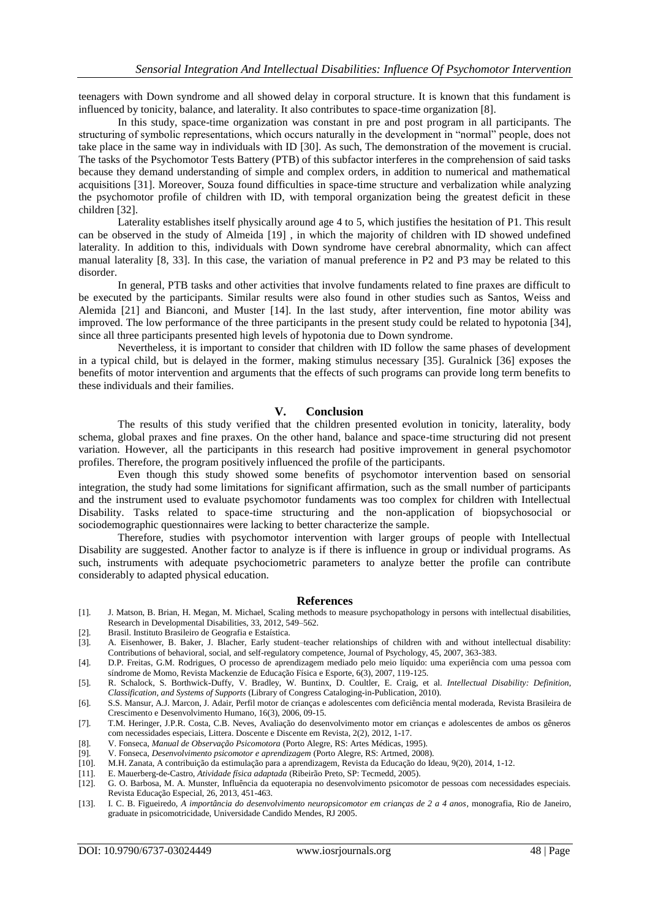teenagers with Down syndrome and all showed delay in corporal structure. It is known that this fundament is influenced by tonicity, balance, and laterality. It also contributes to space-time organization [8].

In this study, space-time organization was constant in pre and post program in all participants. The structuring of symbolic representations, which occurs naturally in the development in "normal" people, does not take place in the same way in individuals with ID [30]. As such, The demonstration of the movement is crucial. The tasks of the Psychomotor Tests Battery (PTB) of this subfactor interferes in the comprehension of said tasks because they demand understanding of simple and complex orders, in addition to numerical and mathematical acquisitions [31]. Moreover, Souza found difficulties in space-time structure and verbalization while analyzing the psychomotor profile of children with ID, with temporal organization being the greatest deficit in these children [32].

Laterality establishes itself physically around age 4 to 5, which justifies the hesitation of P1. This result can be observed in the study of Almeida [19] , in which the majority of children with ID showed undefined laterality. In addition to this, individuals with Down syndrome have cerebral abnormality, which can affect manual laterality [8, 33]. In this case, the variation of manual preference in P2 and P3 may be related to this disorder.

In general, PTB tasks and other activities that involve fundaments related to fine praxes are difficult to be executed by the participants. Similar results were also found in other studies such as Santos, Weiss and Alemida [21] and Bianconi, and Muster [14]. In the last study, after intervention, fine motor ability was improved. The low performance of the three participants in the present study could be related to hypotonia [34], since all three participants presented high levels of hypotonia due to Down syndrome.

Nevertheless, it is important to consider that children with ID follow the same phases of development in a typical child, but is delayed in the former, making stimulus necessary [35]. Guralnick [36] exposes the benefits of motor intervention and arguments that the effects of such programs can provide long term benefits to these individuals and their families.

## **V. Conclusion**

The results of this study verified that the children presented evolution in tonicity, laterality, body schema, global praxes and fine praxes. On the other hand, balance and space-time structuring did not present variation. However, all the participants in this research had positive improvement in general psychomotor profiles. Therefore, the program positively influenced the profile of the participants.

Even though this study showed some benefits of psychomotor intervention based on sensorial integration, the study had some limitations for significant affirmation, such as the small number of participants and the instrument used to evaluate psychomotor fundaments was too complex for children with Intellectual Disability. Tasks related to space-time structuring and the non-application of biopsychosocial or sociodemographic questionnaires were lacking to better characterize the sample.

Therefore, studies with psychomotor intervention with larger groups of people with Intellectual Disability are suggested. Another factor to analyze is if there is influence in group or individual programs. As such, instruments with adequate psychociometric parameters to analyze better the profile can contribute considerably to adapted physical education.

#### **References**

- [1]. J. Matson, B. Brian, H. Megan, M. Michael, Scaling methods to measure psychopathology in persons with intellectual disabilities, Research in Developmental Disabilities, 33, 2012, 549–562.
- [2]. Brasil. Instituto Brasileiro de Geografia e Estaística.
- [3]. A. Eisenhower, B. Baker, J. Blacher, Early student–teacher relationships of children with and without intellectual disability: Contributions of behavioral, social, and self-regulatory competence, Journal of Psychology, 45, 2007, 363-383.
- [4]. D.P. Freitas, G.M. Rodrigues, O processo de aprendizagem mediado pelo meio líquido: uma experiência com uma pessoa com síndrome de Momo, Revista Mackenzie de Educação Física e Esporte, 6(3), 2007, 119-125.
- [5]. R. Schalock, S. Borthwick-Duffy, V. Bradley, W. Buntinx, D. Coultler, E. Craig, et al. *Intellectual Disability: Definition, Classification, and Systems of Supports* (Library of Congress Cataloging-in-Publication, 2010).
- [6]. S.S. Mansur, A.J. Marcon, J. Adair, Perfil motor de crianças e adolescentes com deficiência mental moderada, Revista Brasileira de Crescimento e Desenvolvimento Humano, 16(3), 2006, 09-15.
- [7]. T.M. Heringer, J.P.R. Costa, C.B. Neves, Avaliação do desenvolvimento motor em crianças e adolescentes de ambos os gêneros com necessidades especiais, Littera. Doscente e Discente em Revista, 2(2), 2012, 1-17.
- [8]. V. Fonseca, *Manual de Observação Psicomotora* (Porto Alegre, RS: Artes Médicas, 1995).
- [9]. V. Fonseca, *Desenvolvimento psicomotor e aprendizagem* (Porto Alegre, RS: Artmed, 2008).
- [10]. M.H. Zanata, A contribuição da estimulação para a aprendizagem, Revista da Educação do Ideau, 9(20), 2014, 1-12.
- [11]. E. Mauerberg-de-Castro, *Atividade física adaptada* (Ribeirão Preto, SP: Tecmedd, 2005).
- [12]. G. O. Barbosa, M. A. Munster, Influência da equoterapia no desenvolvimento psicomotor de pessoas com necessidades especiais. Revista Educação Especial, 26, 2013, 451-463.
- [13]. I. C. B. Figueiredo, *A importância do desenvolvimento neuropsicomotor em crianças de 2 a 4 anos*, monografia, Rio de Janeiro, graduate in psicomotricidade, Universidade Candido Mendes, RJ 2005.